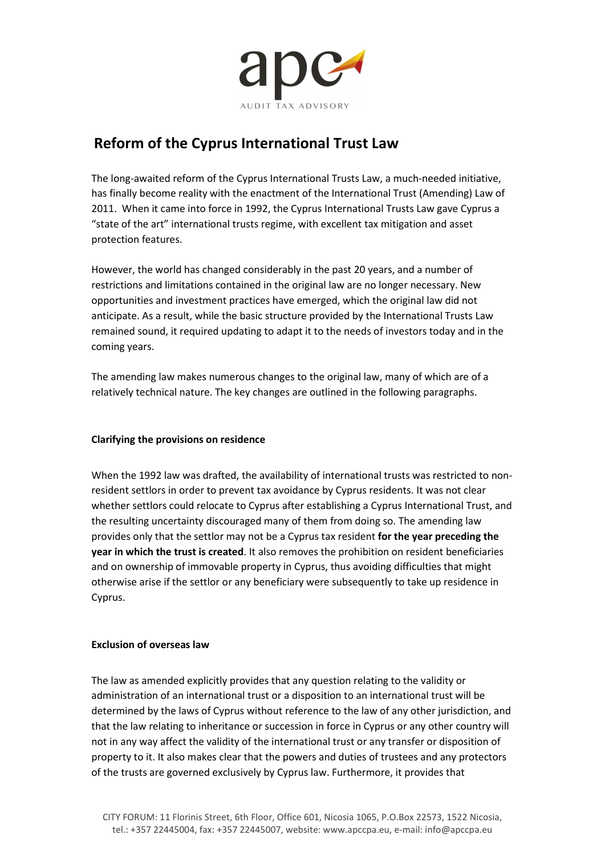

# Reform of the Cyprus International Trust Law

The long-awaited reform of the Cyprus International Trusts Law, a much-needed initiative, has finally become reality with the enactment of the International Trust (Amending) Law of 2011. When it came into force in 1992, the Cyprus International Trusts Law gave Cyprus a "state of the art" international trusts regime, with excellent tax mitigation and asset protection features.

However, the world has changed considerably in the past 20 years, and a number of restrictions and limitations contained in the original law are no longer necessary. New opportunities and investment practices have emerged, which the original law did not anticipate. As a result, while the basic structure provided by the International Trusts Law remained sound, it required updating to adapt it to the needs of investors today and in the coming years.

The amending law makes numerous changes to the original law, many of which are of a relatively technical nature. The key changes are outlined in the following paragraphs.

## Clarifying the provisions on residence

When the 1992 law was drafted, the availability of international trusts was restricted to nonresident settlors in order to prevent tax avoidance by Cyprus residents. It was not clear whether settlors could relocate to Cyprus after establishing a Cyprus International Trust, and the resulting uncertainty discouraged many of them from doing so. The amending law provides only that the settlor may not be a Cyprus tax resident for the year preceding the year in which the trust is created. It also removes the prohibition on resident beneficiaries and on ownership of immovable property in Cyprus, thus avoiding difficulties that might otherwise arise if the settlor or any beneficiary were subsequently to take up residence in Cyprus.

#### Exclusion of overseas law

The law as amended explicitly provides that any question relating to the validity or administration of an international trust or a disposition to an international trust will be determined by the laws of Cyprus without reference to the law of any other jurisdiction, and that the law relating to inheritance or succession in force in Cyprus or any other country will not in any way affect the validity of the international trust or any transfer or disposition of property to it. It also makes clear that the powers and duties of trustees and any protectors of the trusts are governed exclusively by Cyprus law. Furthermore, it provides that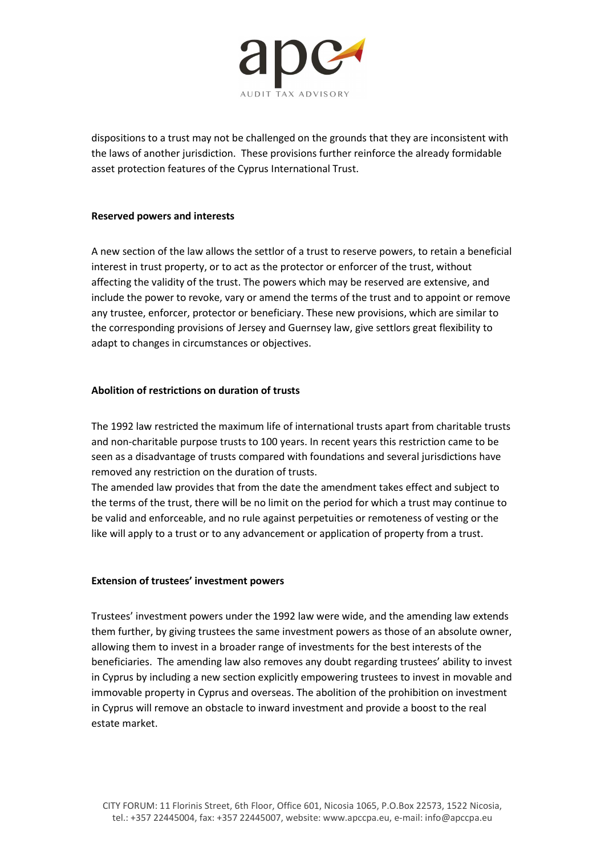

dispositions to a trust may not be challenged on the grounds that they are inconsistent with the laws of another jurisdiction. These provisions further reinforce the already formidable asset protection features of the Cyprus International Trust.

#### Reserved powers and interests

A new section of the law allows the settlor of a trust to reserve powers, to retain a beneficial interest in trust property, or to act as the protector or enforcer of the trust, without affecting the validity of the trust. The powers which may be reserved are extensive, and include the power to revoke, vary or amend the terms of the trust and to appoint or remove any trustee, enforcer, protector or beneficiary. These new provisions, which are similar to the corresponding provisions of Jersey and Guernsey law, give settlors great flexibility to adapt to changes in circumstances or objectives.

### Abolition of restrictions on duration of trusts

The 1992 law restricted the maximum life of international trusts apart from charitable trusts and non-charitable purpose trusts to 100 years. In recent years this restriction came to be seen as a disadvantage of trusts compared with foundations and several jurisdictions have removed any restriction on the duration of trusts.

The amended law provides that from the date the amendment takes effect and subject to the terms of the trust, there will be no limit on the period for which a trust may continue to be valid and enforceable, and no rule against perpetuities or remoteness of vesting or the like will apply to a trust or to any advancement or application of property from a trust.

#### Extension of trustees' investment powers

Trustees' investment powers under the 1992 law were wide, and the amending law extends them further, by giving trustees the same investment powers as those of an absolute owner, allowing them to invest in a broader range of investments for the best interests of the beneficiaries. The amending law also removes any doubt regarding trustees' ability to invest in Cyprus by including a new section explicitly empowering trustees to invest in movable and immovable property in Cyprus and overseas. The abolition of the prohibition on investment in Cyprus will remove an obstacle to inward investment and provide a boost to the real estate market.